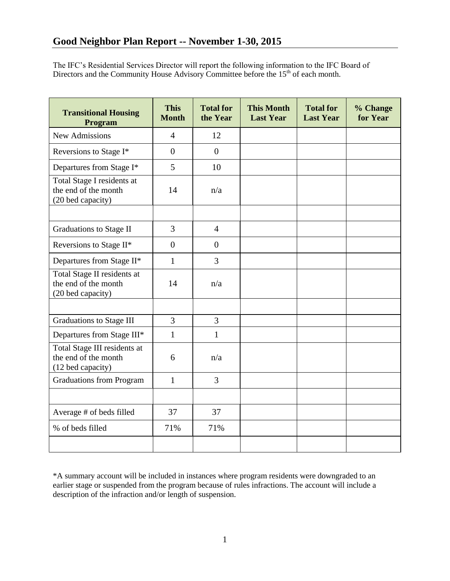The IFC's Residential Services Director will report the following information to the IFC Board of Directors and the Community House Advisory Committee before the  $15<sup>th</sup>$  of each month.

| <b>Transitional Housing</b><br>Program                                    | <b>This</b><br><b>Month</b> | <b>Total for</b><br>the Year | <b>This Month</b><br><b>Last Year</b> | <b>Total for</b><br><b>Last Year</b> | % Change<br>for Year |
|---------------------------------------------------------------------------|-----------------------------|------------------------------|---------------------------------------|--------------------------------------|----------------------|
| <b>New Admissions</b>                                                     | $\overline{4}$              | 12                           |                                       |                                      |                      |
| Reversions to Stage I*                                                    | $\overline{0}$              | $\overline{0}$               |                                       |                                      |                      |
| Departures from Stage I*                                                  | 5                           | 10                           |                                       |                                      |                      |
| Total Stage I residents at<br>the end of the month<br>(20 bed capacity)   | 14                          | n/a                          |                                       |                                      |                      |
|                                                                           |                             |                              |                                       |                                      |                      |
| Graduations to Stage II                                                   | 3                           | $\overline{4}$               |                                       |                                      |                      |
| Reversions to Stage II*                                                   | $\overline{0}$              | $\theta$                     |                                       |                                      |                      |
| Departures from Stage II*                                                 | $\mathbf{1}$                | 3                            |                                       |                                      |                      |
| Total Stage II residents at<br>the end of the month<br>(20 bed capacity)  | 14                          | n/a                          |                                       |                                      |                      |
|                                                                           |                             |                              |                                       |                                      |                      |
| <b>Graduations to Stage III</b>                                           | 3                           | $\overline{3}$               |                                       |                                      |                      |
| Departures from Stage III*                                                | $\mathbf{1}$                | $\mathbf{1}$                 |                                       |                                      |                      |
| Total Stage III residents at<br>the end of the month<br>(12 bed capacity) | 6                           | n/a                          |                                       |                                      |                      |
| <b>Graduations from Program</b>                                           | $\mathbf{1}$                | $\overline{3}$               |                                       |                                      |                      |
|                                                                           |                             |                              |                                       |                                      |                      |
| Average # of beds filled                                                  | 37                          | 37                           |                                       |                                      |                      |
| % of beds filled                                                          | 71%                         | 71%                          |                                       |                                      |                      |
|                                                                           |                             |                              |                                       |                                      |                      |

\*A summary account will be included in instances where program residents were downgraded to an earlier stage or suspended from the program because of rules infractions. The account will include a description of the infraction and/or length of suspension.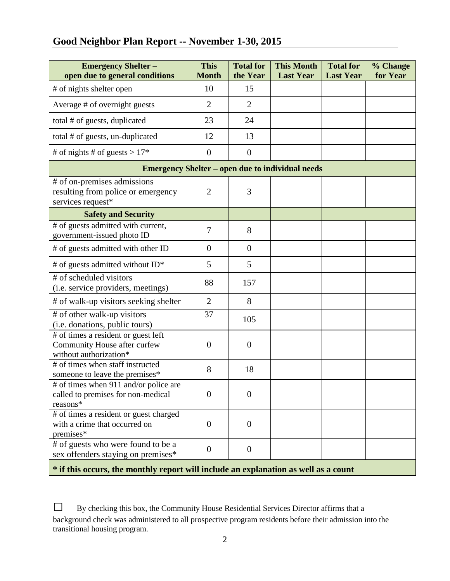# **Good Neighbor Plan Report -- November 1-30, 2015**

| <b>Emergency Shelter -</b><br>open due to general conditions                                  | <b>This</b><br><b>Month</b> | <b>Total for</b><br>the Year | <b>This Month</b><br><b>Last Year</b> | <b>Total for</b><br><b>Last Year</b> | % Change<br>for Year |  |  |  |
|-----------------------------------------------------------------------------------------------|-----------------------------|------------------------------|---------------------------------------|--------------------------------------|----------------------|--|--|--|
| # of nights shelter open                                                                      | 10                          | 15                           |                                       |                                      |                      |  |  |  |
| Average # of overnight guests                                                                 | $\overline{2}$              | $\overline{2}$               |                                       |                                      |                      |  |  |  |
| total # of guests, duplicated                                                                 | 23                          | 24                           |                                       |                                      |                      |  |  |  |
| total # of guests, un-duplicated                                                              | 12                          | 13                           |                                       |                                      |                      |  |  |  |
| # of nights # of guests > $17*$                                                               | $\theta$                    | $\mathbf{0}$                 |                                       |                                      |                      |  |  |  |
| <b>Emergency Shelter – open due to individual needs</b>                                       |                             |                              |                                       |                                      |                      |  |  |  |
| # of on-premises admissions<br>resulting from police or emergency<br>services request*        | $\overline{2}$              | 3                            |                                       |                                      |                      |  |  |  |
| <b>Safety and Security</b>                                                                    |                             |                              |                                       |                                      |                      |  |  |  |
| # of guests admitted with current,<br>government-issued photo ID                              | $\overline{7}$              | 8                            |                                       |                                      |                      |  |  |  |
| # of guests admitted with other ID                                                            | $\theta$                    | $\mathbf{0}$                 |                                       |                                      |                      |  |  |  |
| # of guests admitted without ID*                                                              | 5                           | 5                            |                                       |                                      |                      |  |  |  |
| # of scheduled visitors<br>(i.e. service providers, meetings)                                 | 88                          | 157                          |                                       |                                      |                      |  |  |  |
| # of walk-up visitors seeking shelter                                                         | $\overline{2}$              | 8                            |                                       |                                      |                      |  |  |  |
| # of other walk-up visitors<br>(i.e. donations, public tours)                                 | 37                          | 105                          |                                       |                                      |                      |  |  |  |
| # of times a resident or guest left<br>Community House after curfew<br>without authorization* | $\overline{0}$              | $\mathbf{0}$                 |                                       |                                      |                      |  |  |  |
| # of times when staff instructed<br>someone to leave the premises*                            | 8                           | 18                           |                                       |                                      |                      |  |  |  |
| # of times when 911 and/or police are<br>called to premises for non-medical<br>reasons*       | $\overline{0}$              | $\overline{0}$               |                                       |                                      |                      |  |  |  |
| # of times a resident or guest charged<br>with a crime that occurred on<br>premises*          | $\overline{0}$              | $\overline{0}$               |                                       |                                      |                      |  |  |  |
| # of guests who were found to be a<br>sex offenders staying on premises*                      | $\boldsymbol{0}$            | $\overline{0}$               |                                       |                                      |                      |  |  |  |
| * if this occurs, the monthly report will include an explanation as well as a count           |                             |                              |                                       |                                      |                      |  |  |  |

□ By checking this box, the Community House Residential Services Director affirms that a background check was administered to all prospective program residents before their admission into the transitional housing program.